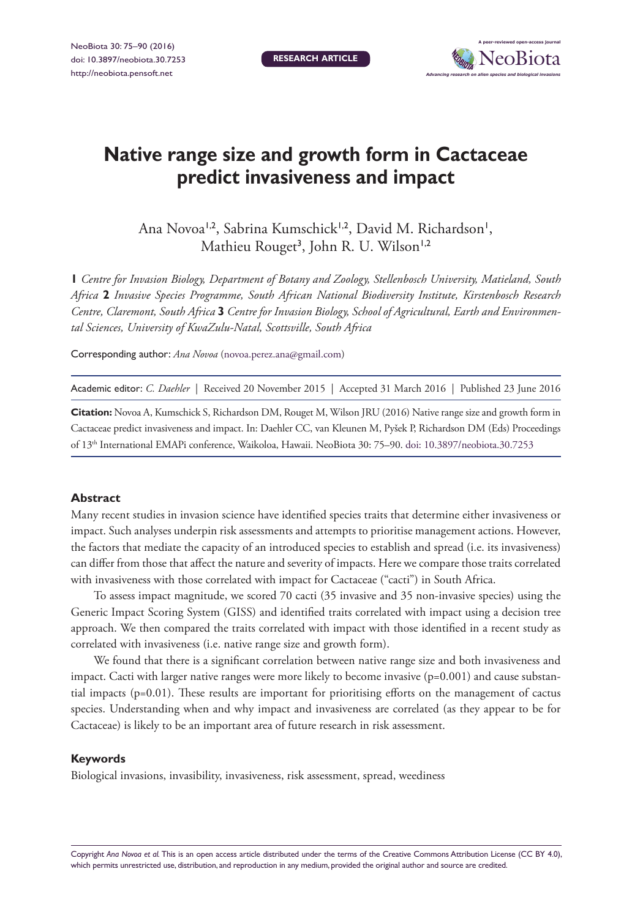**RESEARCH ARTICLE**



# **Native range size and growth form in Cactaceae predict invasiveness and impact**

Ana Novoa<sup>1,2</sup>, Sabrina Kumschick<sup>1,2</sup>, David M. Richardson<sup>1</sup>, Mathieu Rouget<sup>3</sup>, John R. U. Wilson<sup>1,2</sup>

**1** *Centre for Invasion Biology, Department of Botany and Zoology, Stellenbosch University, Matieland, South Africa* **2** *Invasive Species Programme, South African National Biodiversity Institute, Kirstenbosch Research Centre, Claremont, South Africa* **3** *Centre for Invasion Biology, School of Agricultural, Earth and Environmental Sciences, University of KwaZulu-Natal, Scottsville, South Africa*

Corresponding author: *Ana Novoa* ([novoa.perez.ana@gmail.com\)](mailto:novoa.perez.ana@gmail.com)

Academic editor: *C. Daehler* | Received 20 November 2015 | Accepted 31 March 2016 | Published 23 June 2016

**Citation:** Novoa A, Kumschick S, Richardson DM, Rouget M, Wilson JRU (2016) Native range size and growth form in Cactaceae predict invasiveness and impact. In: Daehler CC, van Kleunen M, Pyšek P, Richardson DM (Eds) Proceedings of 13th International EMAPi conference, Waikoloa, Hawaii. NeoBiota 30: 75–90. [doi: 10.3897/neobiota.30.7253](http://dx.doi.org/10.3897/neobiota.30.7253)

#### **Abstract**

Many recent studies in invasion science have identified species traits that determine either invasiveness or impact. Such analyses underpin risk assessments and attempts to prioritise management actions. However, the factors that mediate the capacity of an introduced species to establish and spread (i.e. its invasiveness) can differ from those that affect the nature and severity of impacts. Here we compare those traits correlated with invasiveness with those correlated with impact for Cactaceae ("cacti") in South Africa.

To assess impact magnitude, we scored 70 cacti (35 invasive and 35 non-invasive species) using the Generic Impact Scoring System (GISS) and identified traits correlated with impact using a decision tree approach. We then compared the traits correlated with impact with those identified in a recent study as correlated with invasiveness (i.e. native range size and growth form).

We found that there is a significant correlation between native range size and both invasiveness and impact. Cacti with larger native ranges were more likely to become invasive (p=0.001) and cause substantial impacts (p=0.01). These results are important for prioritising efforts on the management of cactus species. Understanding when and why impact and invasiveness are correlated (as they appear to be for Cactaceae) is likely to be an important area of future research in risk assessment.

#### **Keywords**

Biological invasions, invasibility, invasiveness, risk assessment, spread, weediness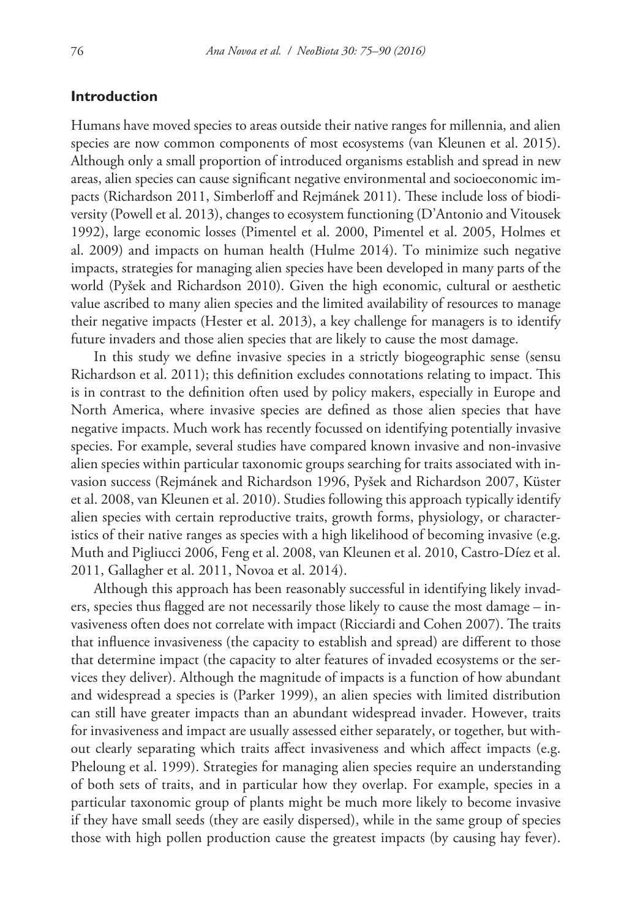# **Introduction**

Humans have moved species to areas outside their native ranges for millennia, and alien species are now common components of most ecosystems (van Kleunen et al. 2015). Although only a small proportion of introduced organisms establish and spread in new areas, alien species can cause significant negative environmental and socioeconomic impacts (Richardson 2011, Simberloff and Rejmánek 2011). These include loss of biodiversity (Powell et al. 2013), changes to ecosystem functioning (D'Antonio and Vitousek 1992), large economic losses (Pimentel et al. 2000, Pimentel et al. 2005, Holmes et al. 2009) and impacts on human health (Hulme 2014). To minimize such negative impacts, strategies for managing alien species have been developed in many parts of the world (Pyšek and Richardson 2010). Given the high economic, cultural or aesthetic value ascribed to many alien species and the limited availability of resources to manage their negative impacts (Hester et al. 2013), a key challenge for managers is to identify future invaders and those alien species that are likely to cause the most damage.

In this study we define invasive species in a strictly biogeographic sense (sensu Richardson et al. 2011); this definition excludes connotations relating to impact. This is in contrast to the definition often used by policy makers, especially in Europe and North America, where invasive species are defined as those alien species that have negative impacts. Much work has recently focussed on identifying potentially invasive species. For example, several studies have compared known invasive and non-invasive alien species within particular taxonomic groups searching for traits associated with invasion success (Rejmánek and Richardson 1996, Pyšek and Richardson 2007, Küster et al. 2008, van Kleunen et al. 2010). Studies following this approach typically identify alien species with certain reproductive traits, growth forms, physiology, or characteristics of their native ranges as species with a high likelihood of becoming invasive (e.g. Muth and Pigliucci 2006, Feng et al. 2008, van Kleunen et al. 2010, Castro-Díez et al. 2011, Gallagher et al. 2011, Novoa et al. 2014).

Although this approach has been reasonably successful in identifying likely invaders, species thus flagged are not necessarily those likely to cause the most damage – invasiveness often does not correlate with impact (Ricciardi and Cohen 2007). The traits that influence invasiveness (the capacity to establish and spread) are different to those that determine impact (the capacity to alter features of invaded ecosystems or the services they deliver). Although the magnitude of impacts is a function of how abundant and widespread a species is (Parker 1999), an alien species with limited distribution can still have greater impacts than an abundant widespread invader. However, traits for invasiveness and impact are usually assessed either separately, or together, but without clearly separating which traits affect invasiveness and which affect impacts (e.g. Pheloung et al. 1999). Strategies for managing alien species require an understanding of both sets of traits, and in particular how they overlap. For example, species in a particular taxonomic group of plants might be much more likely to become invasive if they have small seeds (they are easily dispersed), while in the same group of species those with high pollen production cause the greatest impacts (by causing hay fever).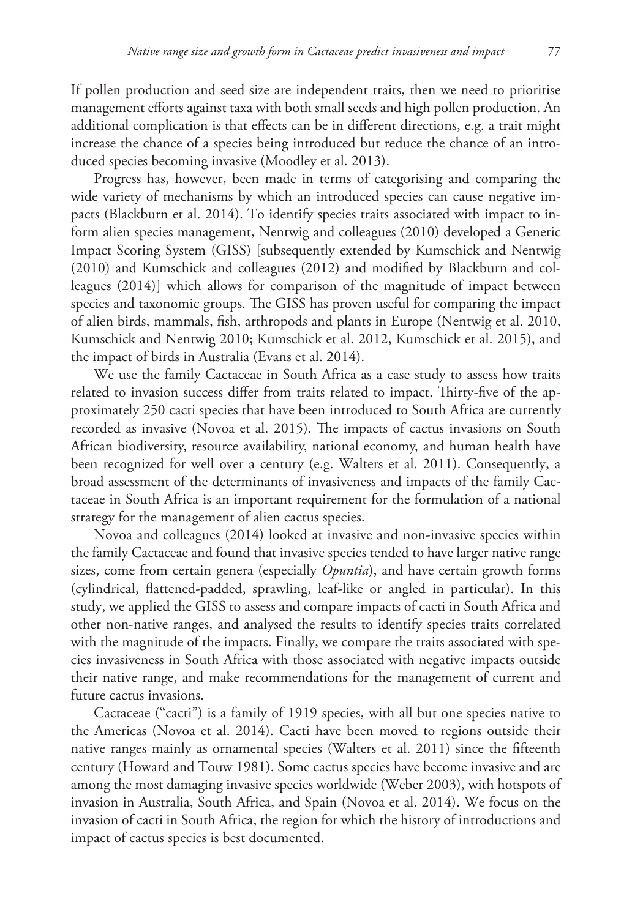If pollen production and seed size are independent traits, then we need to prioritise management efforts against taxa with both small seeds and high pollen production. An additional complication is that effects can be in different directions, e.g. a trait might increase the chance of a species being introduced but reduce the chance of an introduced species becoming invasive (Moodley et al. 2013).

Progress has, however, been made in terms of categorising and comparing the wide variety of mechanisms by which an introduced species can cause negative impacts (Blackburn et al. 2014). To identify species traits associated with impact to inform alien species management, Nentwig and colleagues (2010) developed a Generic Impact Scoring System (GISS) [subsequently extended by Kumschick and Nentwig (2010) and Kumschick and colleagues (2012) and modified by Blackburn and colleagues (2014)] which allows for comparison of the magnitude of impact between species and taxonomic groups. The GISS has proven useful for comparing the impact of alien birds, mammals, fish, arthropods and plants in Europe (Nentwig et al. 2010, Kumschick and Nentwig 2010; Kumschick et al. 2012, Kumschick et al. 2015), and the impact of birds in Australia (Evans et al. 2014).

We use the family Cactaceae in South Africa as a case study to assess how traits related to invasion success differ from traits related to impact. Thirty-five of the approximately 250 cacti species that have been introduced to South Africa are currently recorded as invasive (Novoa et al. 2015). The impacts of cactus invasions on South African biodiversity, resource availability, national economy, and human health have been recognized for well over a century (e.g. Walters et al. 2011). Consequently, a broad assessment of the determinants of invasiveness and impacts of the family Cactaceae in South Africa is an important requirement for the formulation of a national strategy for the management of alien cactus species.

Novoa and colleagues (2014) looked at invasive and non-invasive species within the family Cactaceae and found that invasive species tended to have larger native range sizes, come from certain genera (especially *Opuntia*), and have certain growth forms (cylindrical, flattened-padded, sprawling, leaf-like or angled in particular). In this study, we applied the GISS to assess and compare impacts of cacti in South Africa and other non-native ranges, and analysed the results to identify species traits correlated with the magnitude of the impacts. Finally, we compare the traits associated with species invasiveness in South Africa with those associated with negative impacts outside their native range, and make recommendations for the management of current and future cactus invasions.

Cactaceae ("cacti") is a family of 1919 species, with all but one species native to the Americas (Novoa et al. 2014). Cacti have been moved to regions outside their native ranges mainly as ornamental species (Walters et al. 2011) since the fifteenth century (Howard and Touw 1981). Some cactus species have become invasive and are among the most damaging invasive species worldwide (Weber 2003), with hotspots of invasion in Australia, South Africa, and Spain (Novoa et al. 2014). We focus on the invasion of cacti in South Africa, the region for which the history of introductions and impact of cactus species is best documented.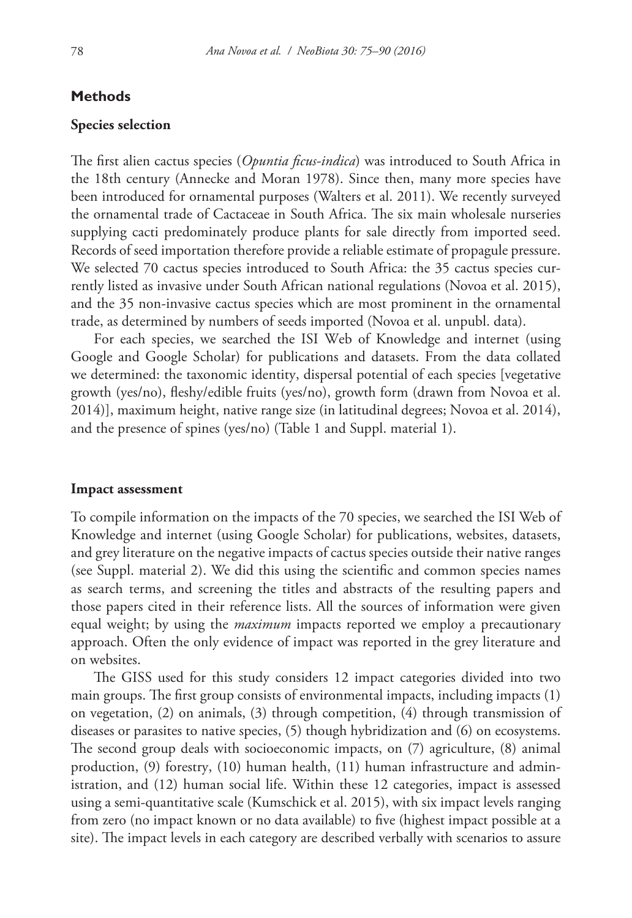## **Methods**

#### **Species selection**

The first alien cactus species (*Opuntia ficus-indica*) was introduced to South Africa in the 18th century (Annecke and Moran 1978). Since then, many more species have been introduced for ornamental purposes (Walters et al. 2011). We recently surveyed the ornamental trade of Cactaceae in South Africa. The six main wholesale nurseries supplying cacti predominately produce plants for sale directly from imported seed. Records of seed importation therefore provide a reliable estimate of propagule pressure. We selected 70 cactus species introduced to South Africa: the 35 cactus species currently listed as invasive under South African national regulations (Novoa et al. 2015), and the 35 non-invasive cactus species which are most prominent in the ornamental trade, as determined by numbers of seeds imported (Novoa et al. unpubl. data).

For each species, we searched the ISI Web of Knowledge and internet (using Google and Google Scholar) for publications and datasets. From the data collated we determined: the taxonomic identity, dispersal potential of each species [vegetative growth (yes/no), fleshy/edible fruits (yes/no), growth form (drawn from Novoa et al. 2014)], maximum height, native range size (in latitudinal degrees; Novoa et al. 2014), and the presence of spines (yes/no) (Table 1 and Suppl. material 1).

#### **Impact assessment**

To compile information on the impacts of the 70 species, we searched the ISI Web of Knowledge and internet (using Google Scholar) for publications, websites, datasets, and grey literature on the negative impacts of cactus species outside their native ranges (see Suppl. material 2). We did this using the scientific and common species names as search terms, and screening the titles and abstracts of the resulting papers and those papers cited in their reference lists. All the sources of information were given equal weight; by using the *maximum* impacts reported we employ a precautionary approach. Often the only evidence of impact was reported in the grey literature and on websites.

The GISS used for this study considers 12 impact categories divided into two main groups. The first group consists of environmental impacts, including impacts (1) on vegetation, (2) on animals, (3) through competition, (4) through transmission of diseases or parasites to native species, (5) though hybridization and (6) on ecosystems. The second group deals with socioeconomic impacts, on (7) agriculture, (8) animal production, (9) forestry, (10) human health, (11) human infrastructure and administration, and (12) human social life. Within these 12 categories, impact is assessed using a semi-quantitative scale (Kumschick et al. 2015), with six impact levels ranging from zero (no impact known or no data available) to five (highest impact possible at a site). The impact levels in each category are described verbally with scenarios to assure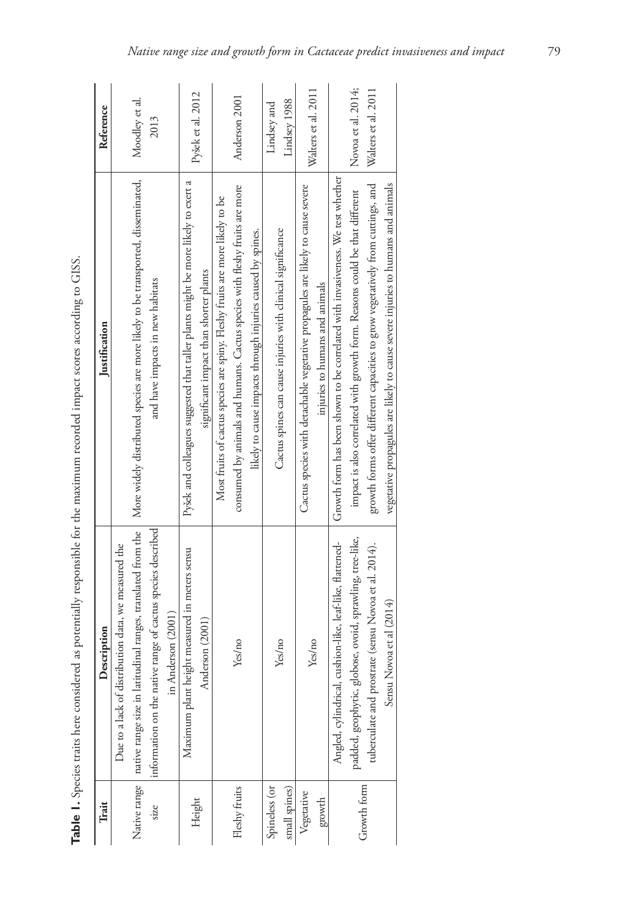| Trait         | Description                                                                 | Justification                                                                     | Reference           |
|---------------|-----------------------------------------------------------------------------|-----------------------------------------------------------------------------------|---------------------|
|               | Due to a lack of distribution data, we measured the                         |                                                                                   |                     |
|               | Native range   native range size in latitudinal ranges, translated from the | More widely distributed species are more likely to be transported, disseminated,  | Moodley et al.      |
| size          | information on the native range of cactus species described                 | and have impacts in new habitats                                                  | 2013                |
|               | in Anderson (2001)                                                          |                                                                                   |                     |
| Height        | Maximum plant height measured in meters sensu                               | Pyšek and colleagues suggested that taller plants might be more likely to exert a | Pyšek et al. 2012   |
|               | Anderson (2001)                                                             | significant impact than shorter plants                                            |                     |
|               |                                                                             | Most fruits of cactus species are spiny. Fleshy fruits are more likely to be      |                     |
| Fleshy fruits | Yes/no                                                                      | consumed by animals and humans. Cactus species with fleshy fruits are more        | Anderson 2001       |
|               |                                                                             | likely to cause impacts through injuries caused by spines.                        |                     |
| Spineless (or |                                                                             |                                                                                   | Lindsey and         |
| small spines) | Yes/no                                                                      | Cactus spines can cause injuries with clinical significance                       | Lindsey 1988        |
| Vegetative    | Yes/no                                                                      | Cactus species with detachable vegetative propagules are likely to cause severe   | Walters et al. 2011 |
| growth        |                                                                             | injuries to humans and animals                                                    |                     |
|               | cushion-like, leaf-like, flattened-<br>Angled, cylindrical,                 | Growth form has been shown to be correlated with invasiveness. We test whether    |                     |
| Growth form   | padded, geophytic, globose, ovoid, sprawling, tree-like,                    | impact is also correlated with growth form. Reasons could be that different       | Novoa et al. 2014;  |
|               | tuberculate and prostrate (sensu Novoa et al. 2014).                        | growth forms offer different capacities to grow vegetatively from cuttings, and   | Walters et al. 2011 |
|               | Sensu Novoa et al (2014)                                                    | vegetative propagules are likely to cause severe injuries to humans and animals   |                     |

Table 1. Species traits here considered as potentially responsible for the maximum recorded impact scores according to GISS. **Table 1.** Species traits here considered as potentially responsible for the maximum recorded impact scores according to GISS.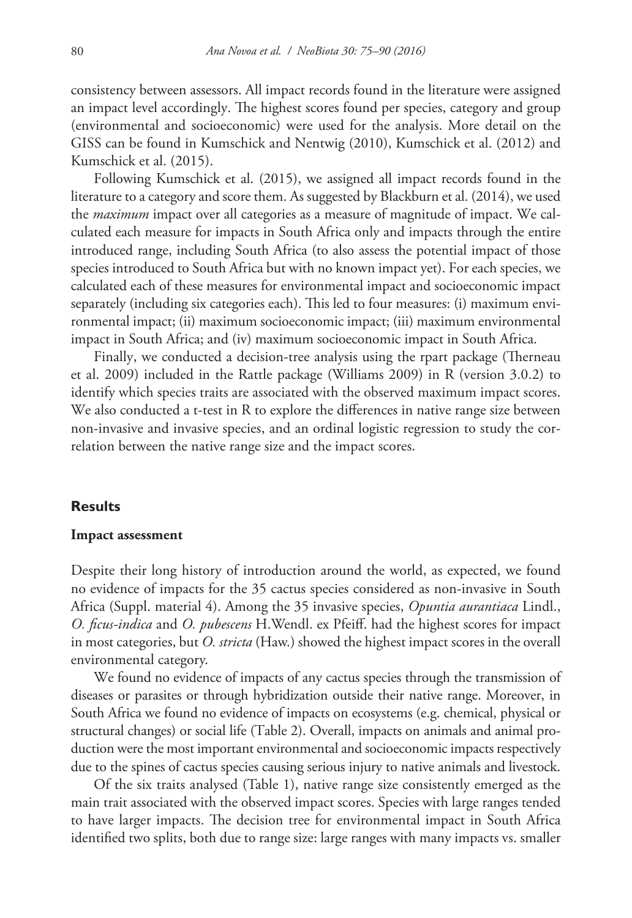consistency between assessors. All impact records found in the literature were assigned an impact level accordingly. The highest scores found per species, category and group (environmental and socioeconomic) were used for the analysis. More detail on the GISS can be found in Kumschick and Nentwig (2010), Kumschick et al. (2012) and Kumschick et al. (2015).

Following Kumschick et al. (2015), we assigned all impact records found in the literature to a category and score them. As suggested by Blackburn et al. (2014), we used the *maximum* impact over all categories as a measure of magnitude of impact. We calculated each measure for impacts in South Africa only and impacts through the entire introduced range, including South Africa (to also assess the potential impact of those species introduced to South Africa but with no known impact yet). For each species, we calculated each of these measures for environmental impact and socioeconomic impact separately (including six categories each). This led to four measures: (i) maximum environmental impact; (ii) maximum socioeconomic impact; (iii) maximum environmental impact in South Africa; and (iv) maximum socioeconomic impact in South Africa.

Finally, we conducted a decision-tree analysis using the rpart package (Therneau et al. 2009) included in the Rattle package (Williams 2009) in R (version 3.0.2) to identify which species traits are associated with the observed maximum impact scores. We also conducted a t-test in R to explore the differences in native range size between non-invasive and invasive species, and an ordinal logistic regression to study the correlation between the native range size and the impact scores.

#### **Results**

#### **Impact assessment**

Despite their long history of introduction around the world, as expected, we found no evidence of impacts for the 35 cactus species considered as non-invasive in South Africa (Suppl. material 4). Among the 35 invasive species, *Opuntia aurantiaca* Lindl., *O. ficus-indica* and *O. pubescens* H.Wendl. ex Pfeiff. had the highest scores for impact in most categories, but *O. stricta* (Haw.) showed the highest impact scores in the overall environmental category.

We found no evidence of impacts of any cactus species through the transmission of diseases or parasites or through hybridization outside their native range. Moreover, in South Africa we found no evidence of impacts on ecosystems (e.g. chemical, physical or structural changes) or social life (Table 2). Overall, impacts on animals and animal production were the most important environmental and socioeconomic impacts respectively due to the spines of cactus species causing serious injury to native animals and livestock.

Of the six traits analysed (Table 1), native range size consistently emerged as the main trait associated with the observed impact scores. Species with large ranges tended to have larger impacts. The decision tree for environmental impact in South Africa identified two splits, both due to range size: large ranges with many impacts vs. smaller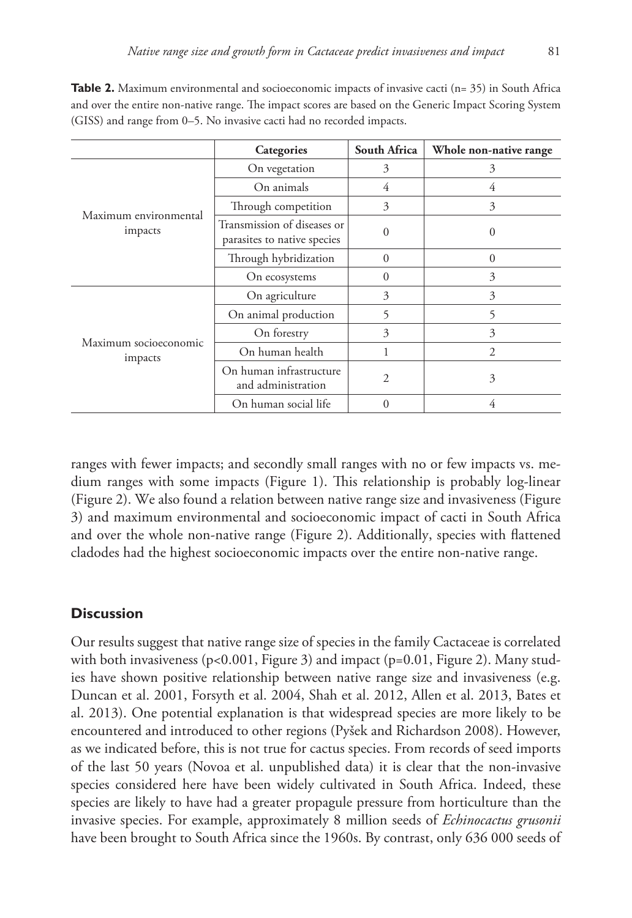**Table 2.** Maximum environmental and socioeconomic impacts of invasive cacti (n= 35) in South Africa and over the entire non-native range. The impact scores are based on the Generic Impact Scoring System (GISS) and range from 0–5. No invasive cacti had no recorded impacts.

|                                  | Categories                                                 | South Africa | Whole non-native range |
|----------------------------------|------------------------------------------------------------|--------------|------------------------|
| Maximum environmental<br>impacts | On vegetation                                              | 3            | 3                      |
|                                  | On animals                                                 | 4            | 4                      |
|                                  | Through competition                                        | 3            | 3                      |
|                                  | Transmission of diseases or<br>parasites to native species | 0            | $\Omega$               |
|                                  | Through hybridization                                      | $\Omega$     | $\theta$               |
|                                  | On ecosystems                                              | $\theta$     | 3                      |
| Maximum socioeconomic<br>impacts | On agriculture                                             | 3            | 3                      |
|                                  | On animal production                                       | 5            | 5                      |
|                                  | On forestry                                                | 3            | 3                      |
|                                  | On human health                                            |              | $\overline{2}$         |
|                                  | On human infrastructure<br>and administration              | 2            | 3                      |
|                                  | On human social life                                       | $\Omega$     | 4                      |

ranges with fewer impacts; and secondly small ranges with no or few impacts vs. medium ranges with some impacts (Figure 1). This relationship is probably log-linear (Figure 2). We also found a relation between native range size and invasiveness (Figure 3) and maximum environmental and socioeconomic impact of cacti in South Africa and over the whole non-native range (Figure 2). Additionally, species with flattened cladodes had the highest socioeconomic impacts over the entire non-native range.

#### **Discussion**

Our results suggest that native range size of species in the family Cactaceae is correlated with both invasiveness (p<0.001, Figure 3) and impact (p=0.01, Figure 2). Many studies have shown positive relationship between native range size and invasiveness (e.g. Duncan et al. 2001, Forsyth et al. 2004, Shah et al. 2012, Allen et al. 2013, Bates et al. 2013). One potential explanation is that widespread species are more likely to be encountered and introduced to other regions (Pyšek and Richardson 2008). However, as we indicated before, this is not true for cactus species. From records of seed imports of the last 50 years (Novoa et al. unpublished data) it is clear that the non-invasive species considered here have been widely cultivated in South Africa. Indeed, these species are likely to have had a greater propagule pressure from horticulture than the invasive species. For example, approximately 8 million seeds of *Echinocactus grusonii*  have been brought to South Africa since the 1960s. By contrast, only 636 000 seeds of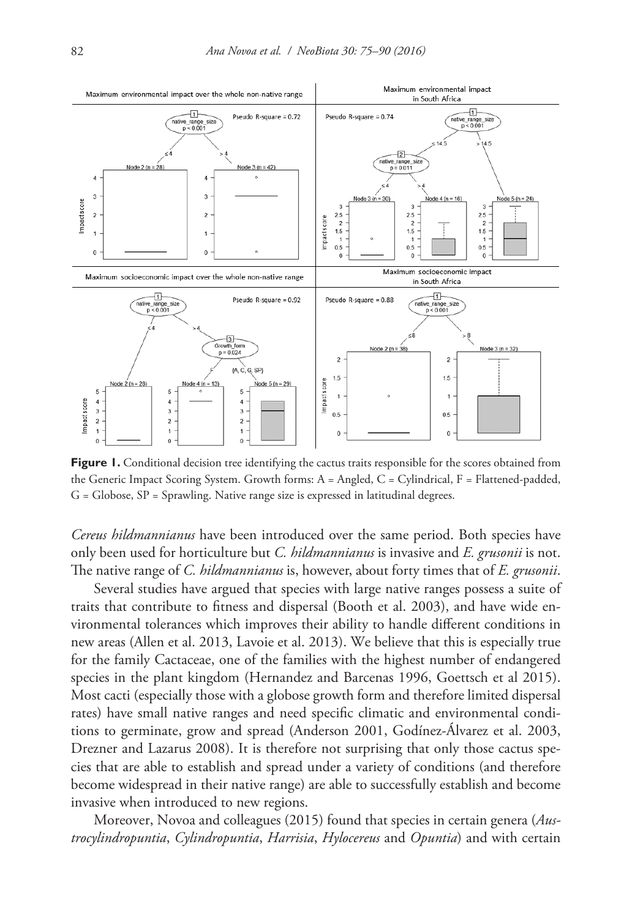

**Figure 1.** Conditional decision tree identifying the cactus traits responsible for the scores obtained from the Generic Impact Scoring System. Growth forms: A = Angled, C = Cylindrical, F = Flattened-padded, G = Globose, SP = Sprawling. Native range size is expressed in latitudinal degrees.

*Cereus hildmannianus* have been introduced over the same period. Both species have only been used for horticulture but *C. hildmannianus* is invasive and *E. grusonii* is not. The native range of *C. hildmannianus* is, however, about forty times that of *E. grusonii*.

Several studies have argued that species with large native ranges possess a suite of traits that contribute to fitness and dispersal (Booth et al. 2003), and have wide environmental tolerances which improves their ability to handle different conditions in new areas (Allen et al. 2013, Lavoie et al. 2013). We believe that this is especially true for the family Cactaceae, one of the families with the highest number of endangered species in the plant kingdom (Hernandez and Barcenas 1996, Goettsch et al 2015). Most cacti (especially those with a globose growth form and therefore limited dispersal rates) have small native ranges and need specific climatic and environmental conditions to germinate, grow and spread (Anderson 2001, Godínez-Álvarez et al. 2003, Drezner and Lazarus 2008). It is therefore not surprising that only those cactus species that are able to establish and spread under a variety of conditions (and therefore become widespread in their native range) are able to successfully establish and become invasive when introduced to new regions.

Moreover, Novoa and colleagues (2015) found that species in certain genera (*Austrocylindropuntia*, *Cylindropuntia*, *Harrisia*, *Hylocereus* and *Opuntia*) and with certain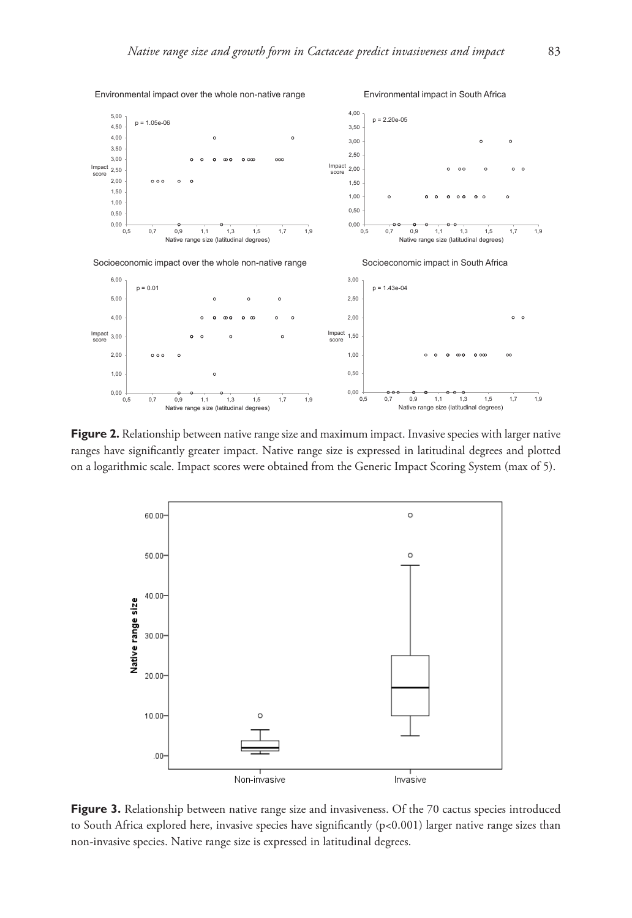

Figure 2. Relationship between native range size and maximum impact. Invasive species with larger native ranges have significantly greater impact. Native range size is expressed in latitudinal degrees and plotted on a logarithmic scale. Impact scores were obtained from the Generic Impact Scoring System (max of 5).



Figure 3. Relationship between native range size and invasiveness. Of the 70 cactus species introduced to South Africa explored here, invasive species have significantly (p<0.001) larger native range sizes than non-invasive species. Native range size is expressed in latitudinal degrees.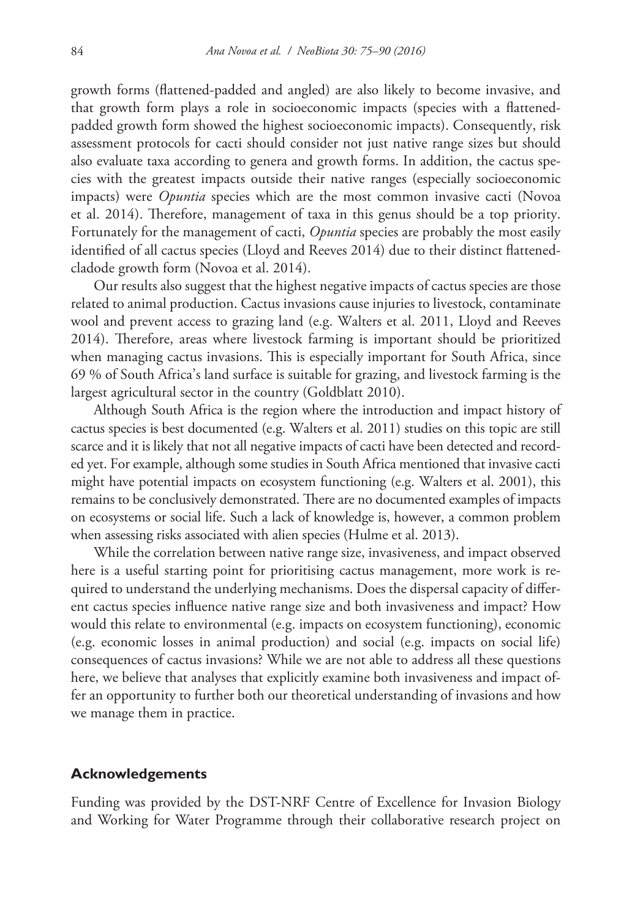growth forms (flattened-padded and angled) are also likely to become invasive, and that growth form plays a role in socioeconomic impacts (species with a flattenedpadded growth form showed the highest socioeconomic impacts). Consequently, risk assessment protocols for cacti should consider not just native range sizes but should also evaluate taxa according to genera and growth forms. In addition, the cactus species with the greatest impacts outside their native ranges (especially socioeconomic impacts) were *Opuntia* species which are the most common invasive cacti (Novoa et al. 2014). Therefore, management of taxa in this genus should be a top priority. Fortunately for the management of cacti, *Opuntia* species are probably the most easily identified of all cactus species (Lloyd and Reeves 2014) due to their distinct flattenedcladode growth form (Novoa et al. 2014).

Our results also suggest that the highest negative impacts of cactus species are those related to animal production. Cactus invasions cause injuries to livestock, contaminate wool and prevent access to grazing land (e.g. Walters et al. 2011, Lloyd and Reeves 2014). Therefore, areas where livestock farming is important should be prioritized when managing cactus invasions. This is especially important for South Africa, since 69 % of South Africa's land surface is suitable for grazing, and livestock farming is the largest agricultural sector in the country (Goldblatt 2010).

Although South Africa is the region where the introduction and impact history of cactus species is best documented (e.g. Walters et al. 2011) studies on this topic are still scarce and it is likely that not all negative impacts of cacti have been detected and recorded yet. For example, although some studies in South Africa mentioned that invasive cacti might have potential impacts on ecosystem functioning (e.g. Walters et al. 2001), this remains to be conclusively demonstrated. There are no documented examples of impacts on ecosystems or social life. Such a lack of knowledge is, however, a common problem when assessing risks associated with alien species (Hulme et al. 2013).

While the correlation between native range size, invasiveness, and impact observed here is a useful starting point for prioritising cactus management, more work is required to understand the underlying mechanisms. Does the dispersal capacity of different cactus species influence native range size and both invasiveness and impact? How would this relate to environmental (e.g. impacts on ecosystem functioning), economic (e.g. economic losses in animal production) and social (e.g. impacts on social life) consequences of cactus invasions? While we are not able to address all these questions here, we believe that analyses that explicitly examine both invasiveness and impact offer an opportunity to further both our theoretical understanding of invasions and how we manage them in practice.

#### **Acknowledgements**

Funding was provided by the DST-NRF Centre of Excellence for Invasion Biology and Working for Water Programme through their collaborative research project on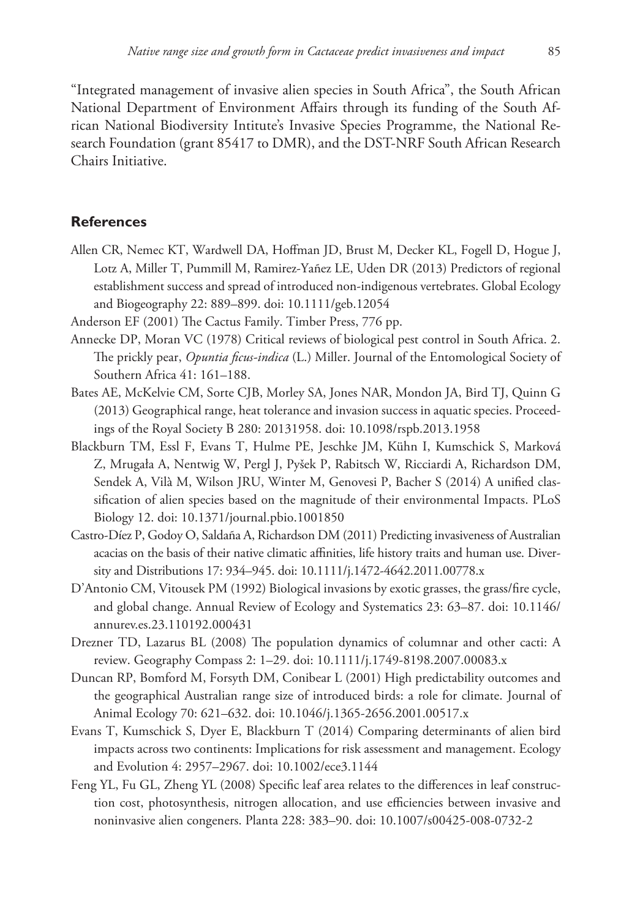"Integrated management of invasive alien species in South Africa", the South African National Department of Environment Affairs through its funding of the South African National Biodiversity Intitute's Invasive Species Programme, the National Research Foundation (grant 85417 to DMR), and the DST-NRF South African Research Chairs Initiative.

### **References**

- Allen CR, Nemec KT, Wardwell DA, Hoffman JD, Brust M, Decker KL, Fogell D, Hogue J, Lotz A, Miller T, Pummill M, Ramirez-Yañez LE, Uden DR (2013) Predictors of regional establishment success and spread of introduced non-indigenous vertebrates. Global Ecology and Biogeography 22: 889–899. [doi: 10.1111/geb.12054](http://dx.doi.org/10.1111/geb.12054)
- Anderson EF (2001) The Cactus Family. Timber Press, 776 pp.
- Annecke DP, Moran VC (1978) Critical reviews of biological pest control in South Africa. 2. The prickly pear, *Opuntia ficus-indica* (L.) Miller. Journal of the Entomological Society of Southern Africa 41: 161–188.
- Bates AE, McKelvie CM, Sorte CJB, Morley SA, Jones NAR, Mondon JA, Bird TJ, Quinn G (2013) Geographical range, heat tolerance and invasion success in aquatic species. Proceedings of the Royal Society B 280: 20131958. [doi: 10.1098/rspb.2013.1958](http://dx.doi.org/10.1098/rspb.2013.1958)
- Blackburn TM, Essl F, Evans T, Hulme PE, Jeschke JM, Kühn I, Kumschick S, Marková Z, Mrugała A, Nentwig W, Pergl J, Pyšek P, Rabitsch W, Ricciardi A, Richardson DM, Sendek A, Vilà M, Wilson JRU, Winter M, Genovesi P, Bacher S (2014) A unified classification of alien species based on the magnitude of their environmental Impacts. PLoS Biology 12. [doi: 10.1371/journal.pbio.1001850](http://dx.doi.org/10.1371/journal.pbio.1001850)
- Castro-Díez P, Godoy O, Saldaña A, Richardson DM (2011) Predicting invasiveness of Australian acacias on the basis of their native climatic affinities, life history traits and human use. Diversity and Distributions 17: 934–945. [doi: 10.1111/j.1472-4642.2011.00778.x](http://dx.doi.org/10.1111/j.1472-4642.2011.00778.x)
- D'Antonio CM, Vitousek PM (1992) Biological invasions by exotic grasses, the grass/fire cycle, and global change. Annual Review of Ecology and Systematics 23: 63–87. [doi: 10.1146/](http://dx.doi.org/10.1146/annurev.es.23.110192.000431) [annurev.es.23.110192.000431](http://dx.doi.org/10.1146/annurev.es.23.110192.000431)
- Drezner TD, Lazarus BL (2008) The population dynamics of columnar and other cacti: A review. Geography Compass 2: 1–29. [doi: 10.1111/j.1749-8198.2007.00083.x](http://dx.doi.org/10.1111/j.1749-8198.2007.00083.x)
- Duncan RP, Bomford M, Forsyth DM, Conibear L (2001) High predictability outcomes and the geographical Australian range size of introduced birds: a role for climate. Journal of Animal Ecology 70: 621–632. [doi: 10.1046/j.1365-2656.2001.00517.x](http://dx.doi.org/10.1046/j.1365-2656.2001.00517.x)
- Evans T, Kumschick S, Dyer E, Blackburn T (2014) Comparing determinants of alien bird impacts across two continents: Implications for risk assessment and management. Ecology and Evolution 4: 2957–2967. [doi: 10.1002/ece3.1144](http://dx.doi.org/10.1002/ece3.1144)
- Feng YL, Fu GL, Zheng YL (2008) Specific leaf area relates to the differences in leaf construction cost, photosynthesis, nitrogen allocation, and use efficiencies between invasive and noninvasive alien congeners. Planta 228: 383–90. [doi: 10.1007/s00425-008-0732-2](http://dx.doi.org/10.1007/s00425-008-0732-2)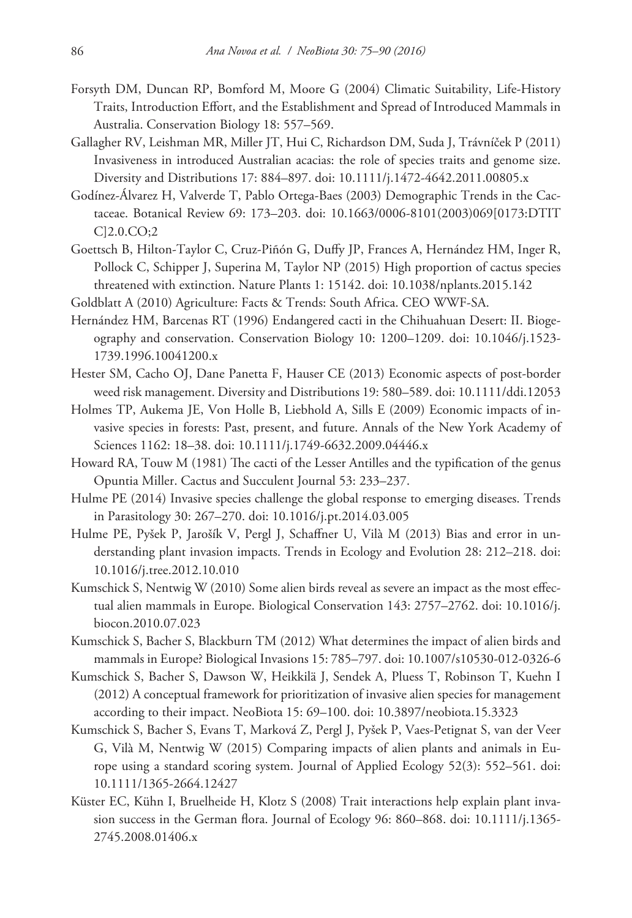- Forsyth DM, Duncan RP, Bomford M, Moore G (2004) Climatic Suitability, Life-History Traits, Introduction Effort, and the Establishment and Spread of Introduced Mammals in Australia. Conservation Biology 18: 557–569.
- Gallagher RV, Leishman MR, Miller JT, Hui C, Richardson DM, Suda J, Trávníček P (2011) Invasiveness in introduced Australian acacias: the role of species traits and genome size. Diversity and Distributions 17: 884–897. [doi: 10.1111/j.1472-4642.2011.00805.x](http://dx.doi.org/10.1111/j.1472-4642.2011.00805.x)
- Godínez-Álvarez H, Valverde T, Pablo Ortega-Baes (2003) Demographic Trends in the Cactaceae. Botanical Review 69: 173–203. [doi: 10.1663/0006-8101\(2003\)069\[0173:DTIT](http://dx.doi.org/10.1663/0006-8101(2003)069%5B0173:DTITC%5D2.0.CO;2) [C\]2.0.CO;2](http://dx.doi.org/10.1663/0006-8101(2003)069%5B0173:DTITC%5D2.0.CO;2)
- Goettsch B, Hilton-Taylor C, Cruz-Piñón G, Duffy JP, Frances A, Hernández HM, Inger R, Pollock C, Schipper J, Superina M, Taylor NP (2015) High proportion of cactus species threatened with extinction. Nature Plants 1: 15142. [doi: 10.1038/nplants.2015.142](http://dx.doi.org/10.1038/nplants.2015.142)
- Goldblatt A (2010) Agriculture: Facts & Trends: South Africa. CEO WWF-SA.
- Hernández HM, Barcenas RT (1996) Endangered cacti in the Chihuahuan Desert: II. Biogeography and conservation. Conservation Biology 10: 1200–1209. [doi: 10.1046/j.1523-](http://dx.doi.org/10.1046/j.1523-1739.1996.10041200.x) [1739.1996.10041200.x](http://dx.doi.org/10.1046/j.1523-1739.1996.10041200.x)
- Hester SM, Cacho OJ, Dane Panetta F, Hauser CE (2013) Economic aspects of post-border weed risk management. Diversity and Distributions 19: 580–589. [doi: 10.1111/ddi.12053](http://dx.doi.org/10.1111/ddi.12053)
- Holmes TP, Aukema JE, Von Holle B, Liebhold A, Sills E (2009) Economic impacts of invasive species in forests: Past, present, and future. Annals of the New York Academy of Sciences 1162: 18–38. [doi: 10.1111/j.1749-6632.2009.04446.x](http://dx.doi.org/10.1111/j.1749-6632.2009.04446.x)
- Howard RA, Touw M (1981) The cacti of the Lesser Antilles and the typification of the genus Opuntia Miller. Cactus and Succulent Journal 53: 233–237.
- Hulme PE (2014) Invasive species challenge the global response to emerging diseases. Trends in Parasitology 30: 267–270. [doi: 10.1016/j.pt.2014.03.005](http://dx.doi.org/10.1016/j.pt.2014.03.005)
- Hulme PE, Pyšek P, Jarošík V, Pergl J, Schaffner U, Vilà M (2013) Bias and error in understanding plant invasion impacts. Trends in Ecology and Evolution 28: 212–218. [doi:](http://dx.doi.org/10.1016/j.tree.2012.10.010) [10.1016/j.tree.2012.10.010](http://dx.doi.org/10.1016/j.tree.2012.10.010)
- Kumschick S, Nentwig W (2010) Some alien birds reveal as severe an impact as the most effectual alien mammals in Europe. Biological Conservation 143: 2757–2762. [doi: 10.1016/j.](http://dx.doi.org/10.1016/j.biocon.2010.07.023) [biocon.2010.07.023](http://dx.doi.org/10.1016/j.biocon.2010.07.023)
- Kumschick S, Bacher S, Blackburn TM (2012) What determines the impact of alien birds and mammals in Europe? Biological Invasions 15: 785–797. [doi: 10.1007/s10530-012-0326-6](http://dx.doi.org/10.1007/s10530-012-0326-6)
- Kumschick S, Bacher S, Dawson W, Heikkilä J, Sendek A, Pluess T, Robinson T, Kuehn I (2012) A conceptual framework for prioritization of invasive alien species for management according to their impact. NeoBiota 15: 69–100. [doi: 10.3897/neobiota.15.3323](http://dx.doi.org/10.3897/neobiota.15.3323)
- Kumschick S, Bacher S, Evans T, Marková Z, Pergl J, Pyšek P, Vaes-Petignat S, van der Veer G, Vilà M, Nentwig W (2015) Comparing impacts of alien plants and animals in Europe using a standard scoring system. Journal of Applied Ecology 52(3): 552–561. [doi:](http://dx.doi.org/10.1111/1365-2664.12427) [10.1111/1365-2664.12427](http://dx.doi.org/10.1111/1365-2664.12427)
- Küster EC, Kühn I, Bruelheide H, Klotz S (2008) Trait interactions help explain plant invasion success in the German flora. Journal of Ecology 96: 860–868. [doi: 10.1111/j.1365-](http://dx.doi.org/10.1111/j.1365-2745.2008.01406.x) [2745.2008.01406.x](http://dx.doi.org/10.1111/j.1365-2745.2008.01406.x)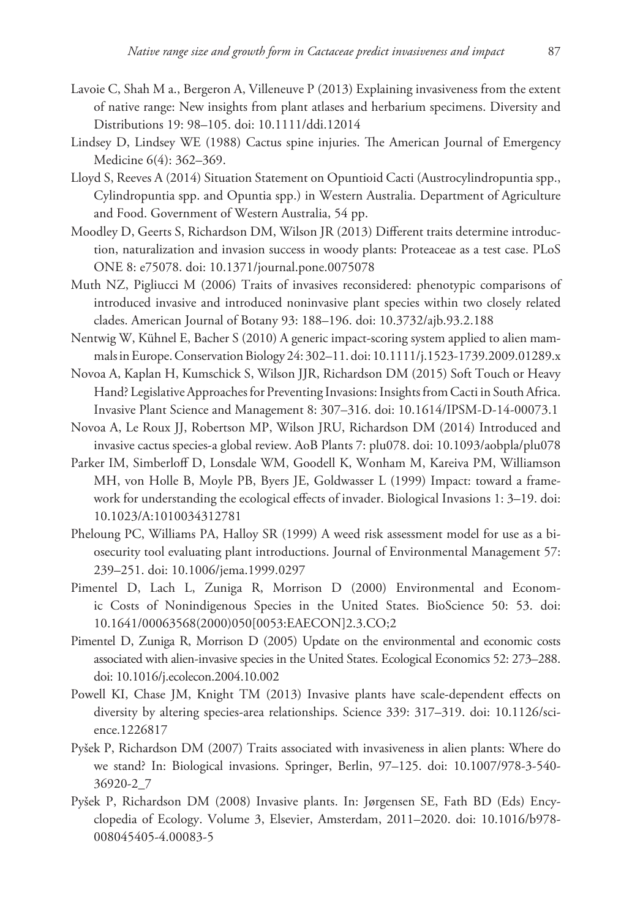- Lavoie C, Shah M a., Bergeron A, Villeneuve P (2013) Explaining invasiveness from the extent of native range: New insights from plant atlases and herbarium specimens. Diversity and Distributions 19: 98–105. [doi: 10.1111/ddi.12014](http://dx.doi.org/10.1111/ddi.12014)
- Lindsey D, Lindsey WE (1988) Cactus spine injuries. The American Journal of Emergency Medicine 6(4): 362–369.
- Lloyd S, Reeves A (2014) Situation Statement on Opuntioid Cacti (Austrocylindropuntia spp., Cylindropuntia spp. and Opuntia spp.) in Western Australia. Department of Agriculture and Food. Government of Western Australia, 54 pp.
- Moodley D, Geerts S, Richardson DM, Wilson JR (2013) Different traits determine introduction, naturalization and invasion success in woody plants: Proteaceae as a test case. PLoS ONE 8: e75078. [doi: 10.1371/journal.pone.0075078](http://dx.doi.org/10.1371/journal.pone.0075078)
- Muth NZ, Pigliucci M (2006) Traits of invasives reconsidered: phenotypic comparisons of introduced invasive and introduced noninvasive plant species within two closely related clades. American Journal of Botany 93: 188–196. [doi: 10.3732/ajb.93.2.188](http://dx.doi.org/10.3732/ajb.93.2.188)
- Nentwig W, Kühnel E, Bacher S (2010) A generic impact-scoring system applied to alien mammals in Europe. Conservation Biology 24: 302–11. [doi: 10.1111/j.1523-1739.2009.01289.x](http://dx.doi.org/10.1111/j.1523-1739.2009.01289.x)
- Novoa A, Kaplan H, Kumschick S, Wilson JJR, Richardson DM (2015) Soft Touch or Heavy Hand? Legislative Approaches for Preventing Invasions: Insights from Cacti in South Africa. Invasive Plant Science and Management 8: 307–316. [doi: 10.1614/IPSM-D-14-00073.1](http://dx.doi.org/10.1614/IPSM-D-14-00073.1)
- Novoa A, Le Roux JJ, Robertson MP, Wilson JRU, Richardson DM (2014) Introduced and invasive cactus species-a global review. AoB Plants 7: plu078. [doi: 10.1093/aobpla/plu078](http://dx.doi.org/10.1093/aobpla/plu078)
- Parker IM, Simberloff D, Lonsdale WM, Goodell K, Wonham M, Kareiva PM, Williamson MH, von Holle B, Moyle PB, Byers JE, Goldwasser L (1999) Impact: toward a framework for understanding the ecological effects of invader. Biological Invasions 1: 3–19. [doi:](http://dx.doi.org/10.1023/A:1010034312781) [10.1023/A:1010034312781](http://dx.doi.org/10.1023/A:1010034312781)
- Pheloung PC, Williams PA, Halloy SR (1999) A weed risk assessment model for use as a biosecurity tool evaluating plant introductions. Journal of Environmental Management 57: 239–251. [doi: 10.1006/jema.1999.0297](http://dx.doi.org/10.1006/jema.1999.0297)
- Pimentel D, Lach L, Zuniga R, Morrison D (2000) Environmental and Economic Costs of Nonindigenous Species in the United States. BioScience 50: 53. [doi:](http://dx.doi.org/10.1641/00063568(2000)050%5B0053:EAECON%5D2.3.CO;2) [10.1641/00063568\(2000\)050\[0053:EAECON\]2.3.CO;2](http://dx.doi.org/10.1641/00063568(2000)050%5B0053:EAECON%5D2.3.CO;2)
- Pimentel D, Zuniga R, Morrison D (2005) Update on the environmental and economic costs associated with alien-invasive species in the United States. Ecological Economics 52: 273–288. [doi: 10.1016/j.ecolecon.2004.10.002](http://dx.doi.org/10.1016/j.ecolecon.2004.10.002)
- Powell KI, Chase JM, Knight TM (2013) Invasive plants have scale-dependent effects on diversity by altering species-area relationships. Science 339: 317–319. [doi: 10.1126/sci](http://dx.doi.org/10.1126/science.1226817)[ence.1226817](http://dx.doi.org/10.1126/science.1226817)
- Pyšek P, Richardson DM (2007) Traits associated with invasiveness in alien plants: Where do we stand? In: Biological invasions. Springer, Berlin, 97–125. [doi: 10.1007/978-3-540-](http://dx.doi.org/10.1007/978-3-540-36920-2_7) [36920-2\\_7](http://dx.doi.org/10.1007/978-3-540-36920-2_7)
- Pyšek P, Richardson DM (2008) Invasive plants. In: Jørgensen SE, Fath BD (Eds) Encyclopedia of Ecology. Volume 3, Elsevier, Amsterdam, 2011–2020. [doi: 10.1016/b978-](http://dx.doi.org/10.1016/b978-008045405-4.00083-5) [008045405-4.00083-5](http://dx.doi.org/10.1016/b978-008045405-4.00083-5)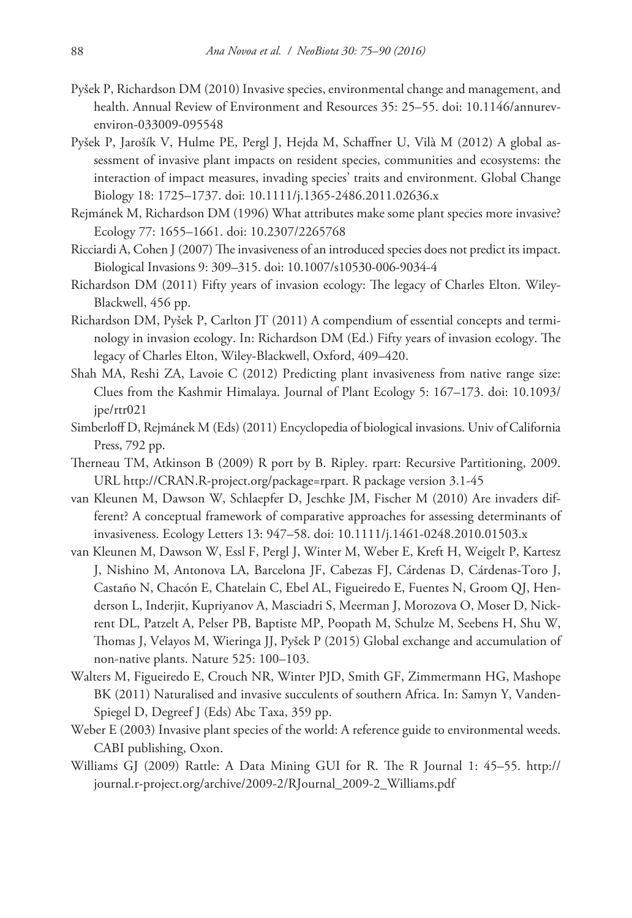- Pyšek P, Richardson DM (2010) Invasive species, environmental change and management, and health. Annual Review of Environment and Resources 35: 25–55. [doi: 10.1146/annurev](http://dx.doi.org/10.1146/annurev-environ-033009-095548)[environ-033009-095548](http://dx.doi.org/10.1146/annurev-environ-033009-095548)
- Pyšek P, Jarošík V, Hulme PE, Pergl J, Hejda M, Schaffner U, Vilà M (2012) A global assessment of invasive plant impacts on resident species, communities and ecosystems: the interaction of impact measures, invading species' traits and environment. Global Change Biology 18: 1725–1737. [doi: 10.1111/j.1365-2486.2011.02636.x](http://dx.doi.org/10.1111/j.1365-2486.2011.02636.x)
- Rejmánek M, Richardson DM (1996) What attributes make some plant species more invasive? Ecology 77: 1655–1661. [doi: 10.2307/2265768](http://dx.doi.org/10.2307/2265768)
- Ricciardi A, Cohen J (2007) The invasiveness of an introduced species does not predict its impact. Biological Invasions 9: 309–315. [doi: 10.1007/s10530-006-9034-4](http://dx.doi.org/10.1007/s10530-006-9034-4)
- Richardson DM (2011) Fifty years of invasion ecology: The legacy of Charles Elton. Wiley-Blackwell, 456 pp.
- Richardson DM, Pyšek P, Carlton JT (2011) A compendium of essential concepts and terminology in invasion ecology. In: Richardson DM (Ed.) Fifty years of invasion ecology. The legacy of Charles Elton, Wiley-Blackwell, Oxford, 409–420.
- Shah MA, Reshi ZA, Lavoie C (2012) Predicting plant invasiveness from native range size: Clues from the Kashmir Himalaya. Journal of Plant Ecology 5: 167–173. [doi: 10.1093/](http://dx.doi.org/10.1093/jpe/rtr021) [jpe/rtr021](http://dx.doi.org/10.1093/jpe/rtr021)
- Simberloff D, Rejmánek M (Eds) (2011) Encyclopedia of biological invasions. Univ of California Press, 792 pp.
- Therneau TM, Atkinson B (2009) R port by B. Ripley. rpart: Recursive Partitioning, 2009. URL [http://CRAN.R-project.org/package=rpart.](http://CRAN.R-project.org/package=rpart) R package version 3.1-45
- van Kleunen M, Dawson W, Schlaepfer D, Jeschke JM, Fischer M (2010) Are invaders different? A conceptual framework of comparative approaches for assessing determinants of invasiveness. Ecology Letters 13: 947–58. [doi: 10.1111/j.1461-0248.2010.01503.x](http://dx.doi.org/10.1111/j.1461-0248.2010.01503.x)
- van Kleunen M, Dawson W, Essl F, Pergl J, Winter M, Weber E, Kreft H, Weigelt P, Kartesz J, Nishino M, Antonova LA, Barcelona JF, Cabezas FJ, Cárdenas D, Cárdenas-Toro J, Castaño N, Chacón E, Chatelain C, Ebel AL, Figueiredo E, Fuentes N, Groom QJ, Henderson L, Inderjit, Kupriyanov A, Masciadri S, Meerman J, Morozova O, Moser D, Nickrent DL, Patzelt A, Pelser PB, Baptiste MP, Poopath M, Schulze M, Seebens H, Shu W, Thomas J, Velayos M, Wieringa JJ, Pyšek P (2015) Global exchange and accumulation of non-native plants. Nature 525: 100–103.
- Walters M, Figueiredo E, Crouch NR, Winter PJD, Smith GF, Zimmermann HG, Mashope BK (2011) Naturalised and invasive succulents of southern Africa. In: Samyn Y, Vanden-Spiegel D, Degreef J (Eds) Abc Taxa, 359 pp.
- Weber E (2003) Invasive plant species of the world: A reference guide to environmental weeds. CABI publishing, Oxon.
- Williams GJ (2009) Rattle: A Data Mining GUI for R. The R Journal 1: 45–55. [http://](http://journal.r-project.org/archive/2009-2/RJournal_2009-2_Williams.pdf) [journal.r-project.org/archive/2009-2/RJournal\\_2009-2\\_Williams.pdf](http://journal.r-project.org/archive/2009-2/RJournal_2009-2_Williams.pdf)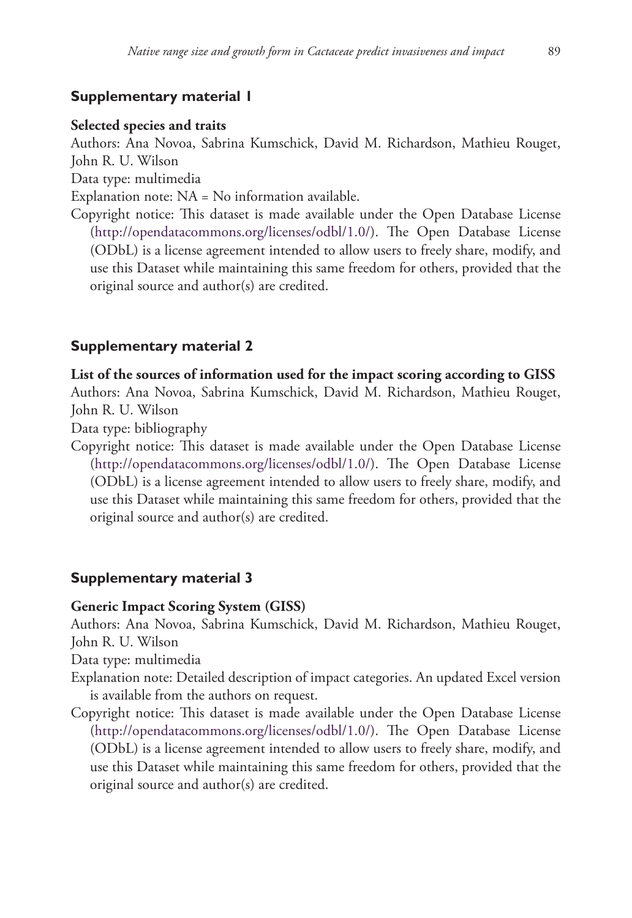# **Supplementary material 1**

## **Selected species and traits**

Authors: Ana Novoa, Sabrina Kumschick, David M. Richardson, Mathieu Rouget, John R. U. Wilson

Data type: multimedia

Explanation note: NA = No information available.

Copyright notice: This dataset is made available under the Open Database License [\(http://opendatacommons.org/licenses/odbl/1.0/](http://opendatacommons.org/licenses/odbl/1.0/)). The Open Database License (ODbL) is a license agreement intended to allow users to freely share, modify, and use this Dataset while maintaining this same freedom for others, provided that the original source and author(s) are credited.

# **Supplementary material 2**

### **List of the sources of information used for the impact scoring according to GISS**

Authors: Ana Novoa, Sabrina Kumschick, David M. Richardson, Mathieu Rouget, John R. U. Wilson

Data type: bibliography

Copyright notice: This dataset is made available under the Open Database License [\(http://opendatacommons.org/licenses/odbl/1.0/](http://opendatacommons.org/licenses/odbl/1.0/)). The Open Database License (ODbL) is a license agreement intended to allow users to freely share, modify, and use this Dataset while maintaining this same freedom for others, provided that the original source and author(s) are credited.

# **Supplementary material 3**

#### **Generic Impact Scoring System (GISS)**

Authors: Ana Novoa, Sabrina Kumschick, David M. Richardson, Mathieu Rouget, John R. U. Wilson

Data type: multimedia

- Explanation note: Detailed description of impact categories. An updated Excel version is available from the authors on request.
- Copyright notice: This dataset is made available under the Open Database License [\(http://opendatacommons.org/licenses/odbl/1.0/](http://opendatacommons.org/licenses/odbl/1.0/)). The Open Database License (ODbL) is a license agreement intended to allow users to freely share, modify, and use this Dataset while maintaining this same freedom for others, provided that the original source and author(s) are credited.